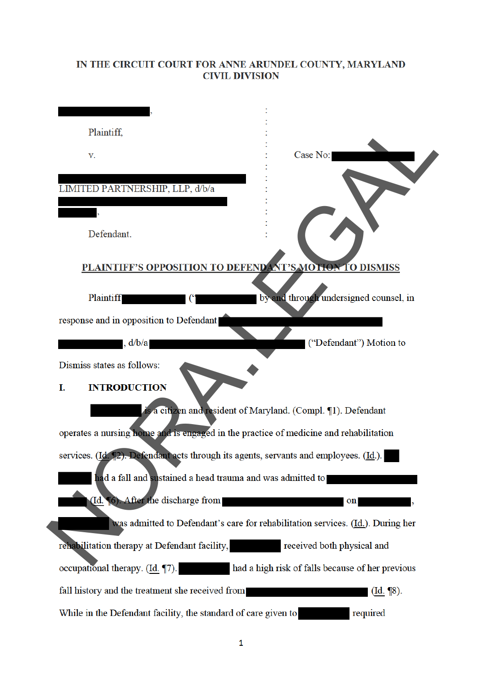### IN THE CIRCUIT COURT FOR ANNE ARUNDEL COUNTY, MARYLAND **CIVIL DIVISION**

| Plaintiff,                                                                            |                                                                                 |
|---------------------------------------------------------------------------------------|---------------------------------------------------------------------------------|
| V.                                                                                    | Case No:                                                                        |
|                                                                                       |                                                                                 |
| LIMITED PARTNERSHIP, LLP, d/b/a                                                       |                                                                                 |
|                                                                                       |                                                                                 |
| Defendant.                                                                            |                                                                                 |
| PLAINTIFF'S OPPOSITION TO DEFENDANT'S MOTION TO DISMISS                               |                                                                                 |
|                                                                                       |                                                                                 |
| <b>Plaintiff</b>                                                                      | by and through undersigned counsel, in                                          |
| response and in opposition to Defendant                                               |                                                                                 |
| , d/b/a                                                                               | ("Defendant") Motion to                                                         |
| Dismiss states as follows:                                                            |                                                                                 |
| <b>INTRODUCTION</b><br>I.                                                             |                                                                                 |
|                                                                                       | is a citizen and resident of Maryland. (Compl. 11). Defendant                   |
| operates a nursing home and is engaged in the practice of medicine and rehabilitation |                                                                                 |
| services. (Id. 12). Defendant acts through its agents, servants and employees. (Id.). |                                                                                 |
| had a fall and sustained a head trauma and was admitted to                            |                                                                                 |
| (Id. 16). After the discharge from                                                    | on                                                                              |
|                                                                                       | was admitted to Defendant's care for rehabilitation services. (Id.). During her |
|                                                                                       |                                                                                 |
| rehabilitation therapy at Defendant facility,                                         | received both physical and                                                      |
| occupational therapy. (Id. 17).                                                       | had a high risk of falls because of her previous                                |
| fall history and the treatment she received from                                      | $(\underline{Id.} \P8).$                                                        |
| While in the Defendant facility, the standard of care given to                        | required                                                                        |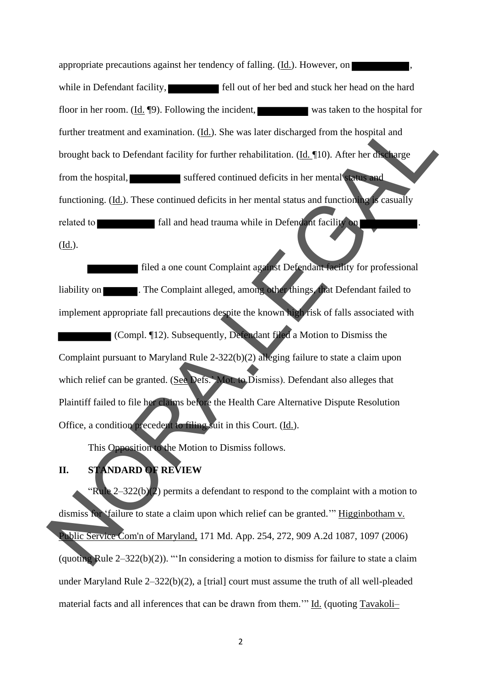appropriate precautions against her tendency of falling. (Id.). However, on while in Defendant facility, **fell** out of her bed and stuck her head on the hard floor in her room. (Id. ¶9). Following the incident, was taken to the hospital for further treatment and examination. (Id.). She was later discharged from the hospital and brought back to Defendant facility for further rehabilitation. (Id. ¶10). After her discharge from the hospital, suffered continued deficits in her mental status and functioning. (Id.). These continued deficits in her mental status and functioning is casually related to **fall and head trauma while in Defendant facility on**  $(\underline{Id.})$ .

**filed a one count Complaint against Defendant facility for professional** liability on **the Complaint alleged, among other things, that Defendant failed to** implement appropriate fall precautions despite the known high risk of falls associated with (Compl. ¶12). Subsequently, Defendant filed a Motion to Dismiss the Complaint pursuant to Maryland Rule 2-322(b)(2) alleging failure to state a claim upon which relief can be granted. (See Defs.' Mot. to Dismiss). Defendant also alleges that Plaintiff failed to file her claims before the Health Care Alternative Dispute Resolution Office, a condition precedent to filing suit in this Court. (Id.). further treatment and examination. (dd). She was later discharged from the hospital and<br>brought back to Defendant facility for further relationshind (dd. 10). After her divented<br>from the hospital.<br>The scaling suffreed con

This Opposition to the Motion to Dismiss follows.

## **II. STANDARD OF REVIEW**

"Rule  $2-322(b)(2)$  permits a defendant to respond to the complaint with a motion to dismiss for 'failure to state a claim upon which relief can be granted.'" Higginbotham v. Public Service Com'n of Maryland, 171 Md. App. 254, 272, 909 A.2d 1087, 1097 (2006) (quoting Rule  $2-322(b)(2)$ ). "'In considering a motion to dismiss for failure to state a claim under Maryland Rule 2–322(b)(2), a [trial] court must assume the truth of all well-pleaded material facts and all inferences that can be drawn from them.'" Id. (quoting Tavakoli–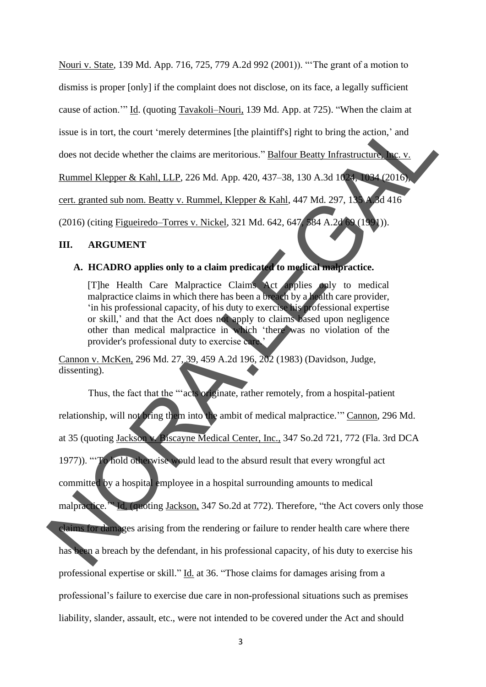Nouri v. State*,* 139 Md. App. 716, 725, 779 A.2d 992 (2001)). "'The grant of a motion to dismiss is proper [only] if the complaint does not disclose, on its face, a legally sufficient cause of action.'" Id. (quoting Tavakoli–Nouri, 139 Md. App. at 725). "When the claim at issue is in tort, the court 'merely determines [the plaintiff's] right to bring the action,' and does not decide whether the claims are meritorious." Balfour Beatty Infrastructure, Inc. v. Rummel Klepper & Kahl, LLP, 226 Md. App. 420, 437–38, 130 A.3d 1024, 1034 (2016), cert. granted sub nom. Beatty v. Rummel, Klepper & Kahl, 447 Md. 297, 135 A.3d 416 (2016) (citing Figueiredo–Torres v. Nickel, 321 Md. 642, 647, 584 A.2d 69 (1991)).

#### **III. ARGUMENT**

#### **A. HCADRO applies only to a claim predicated to medical malpractice.**

[T]he Health Care Malpractice Claims Act applies only to medical malpractice claims in which there has been a breach by a health care provider, 'in his professional capacity, of his duty to exercise his professional expertise or skill,' and that the Act does not apply to claims based upon negligence other than medical malpractice in which 'there was no violation of the provider's professional duty to exercise care.'

Cannon v. McKen, 296 Md. 27, 39, 459 A.2d 196, 202 (1983) (Davidson, Judge, dissenting).

Thus, the fact that the "'acts originate, rather remotely, from a hospital-patient relationship, will not bring them into the ambit of medical malpractice." Cannon, 296 Md. at 35 (quoting Jackson v. Biscayne Medical Center, Inc., 347 So.2d 721, 772 (Fla. 3rd DCA 1977)). "'To hold otherwise would lead to the absurd result that every wrongful act committed by a hospital employee in a hospital surrounding amounts to medical malpractice.'" Id. (quoting Jackson, 347 So.2d at 772). Therefore, "the Act covers only those claims for damages arising from the rendering or failure to render health care where there has been a breach by the defendant, in his professional capacity, of his duty to exercise his professional expertise or skill." Id. at 36. "Those claims for damages arising from a professional's failure to exercise due care in non-professional situations such as premises liability, slander, assault, etc., were not intended to be covered under the Act and should issue is in tort, the court 'merely determines [the plaintif's] right to bring the action,' and<br>
does not decide whether the claims are meritorious." <u>Balfour Beatty Infrastructure, i.e. v.</u><br>
Runmel Klepper & Kahl, LLP, 2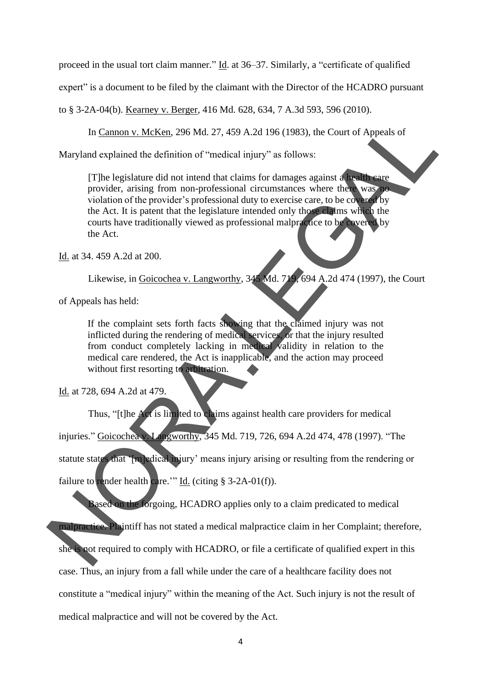proceed in the usual tort claim manner." Id. at 36–37. Similarly, a "certificate of qualified

expert" is a document to be filed by the claimant with the Director of the HCADRO pursuant

to § 3-2A-04(b). Kearney v. Berger, 416 Md. 628, 634, 7 A.3d 593, 596 (2010).

In Cannon v. McKen, 296 Md. 27, 459 A.2d 196 (1983), the Court of Appeals of

Maryland explained the definition of "medical injury" as follows:

[T]he legislature did not intend that claims for damages against a health care provider, arising from non-professional circumstances where there was no violation of the provider's professional duty to exercise care, to be covered by the Act. It is patent that the legislature intended only those claims which the courts have traditionally viewed as professional malpractice to be covered by the Act.

Id. at 34. 459 A.2d at 200.

Likewise, in Goicochea v. Langworthy, 345 Md. 719, 694 A.2d 474 (1997), the Court

of Appeals has held:

If the complaint sets forth facts showing that the claimed injury was not inflicted during the rendering of medical services, or that the injury resulted from conduct completely lacking in medical validity in relation to the medical care rendered, the Act is inapplicable, and the action may proceed without first resorting to arbitration.

Id. at 728, 694 A.2d at 479.

Thus, "[t]he Act is limited to claims against health care providers for medical injuries." Goicochea v. Langworthy, 345 Md. 719, 726, 694 A.2d 474, 478 (1997). "The statute states that '[m]edical injury' means injury arising or resulting from the rendering or failure to render health care.'" Id. (citing  $\S$  3-2A-01(f)). In Cannon v. McKen, 296 Md. 27, 459 A.2d 196 (1983), the Court of Appeals of<br>Maryland explained the definition of "medical injury" as follows:<br>
The legislature did not intend that claims for damages against a<br>
provider, a

Based on the forgoing, HCADRO applies only to a claim predicated to medical malpractice. Plaintiff has not stated a medical malpractice claim in her Complaint; therefore, she is not required to comply with HCADRO, or file a certificate of qualified expert in this case. Thus, an injury from a fall while under the care of a healthcare facility does not constitute a "medical injury" within the meaning of the Act. Such injury is not the result of medical malpractice and will not be covered by the Act.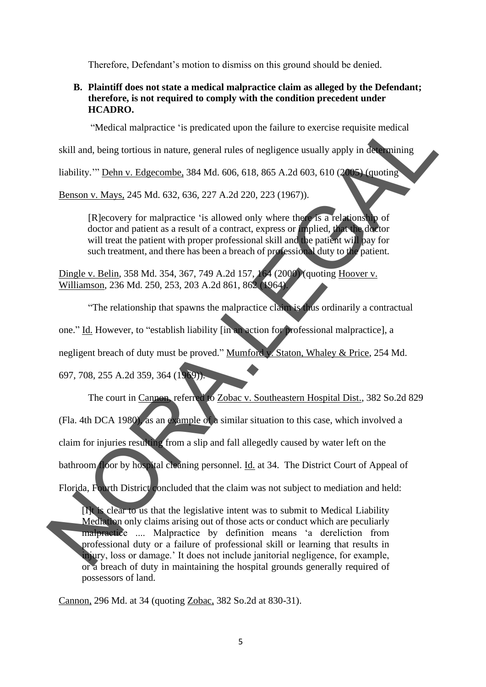Therefore, Defendant's motion to dismiss on this ground should be denied.

#### **B. Plaintiff does not state a medical malpractice claim as alleged by the Defendant; therefore, is not required to comply with the condition precedent under HCADRO.**

"Medical malpractice 'is predicated upon the failure to exercise requisite medical

skill and, being tortious in nature, general rules of negligence usually apply in determining

liability.'" Dehn v. Edgecombe, 384 Md. 606, 618, 865 A.2d 603, 610 (2005) (quoting

Benson v. Mays, 245 Md. 632, 636, 227 A.2d 220, 223 (1967)).

[R]ecovery for malpractice 'is allowed only where there is a relationship of doctor and patient as a result of a contract, express or implied, that the doctor will treat the patient with proper professional skill and the patient will pay for such treatment, and there has been a breach of professional duty to the patient.

Dingle v. Belin, 358 Md. 354, 367, 749 A.2d 157, 164 (2000) (quoting Hoover v. Williamson, 236 Md. 250, 253, 203 A.2d 861, 862 (1964).

"The relationship that spawns the malpractice claim is thus ordinarily a contractual

one." Id. However, to "establish liability [in an action for professional malpractice], a

negligent breach of duty must be proved." Mumford v. Staton, Whaley & Price, 254 Md.

697, 708, 255 A.2d 359, 364 (1969)).

The court in Cannon, referred to Zobac v. Southeastern Hospital Dist., 382 So.2d 829 (Fla. 4th DCA 1980), as an example of a similar situation to this case, which involved a claim for injuries resulting from a slip and fall allegedly caused by water left on the bathroom floor by hospital cleaning personnel. Id. at 34. The District Court of Appeal of "Medical malpractice 'is predicated upon the failure to exercise requisite medical<br>skill and, heing tortions in nature, general rules of negligence usually apply in distributions<br>Itability."" Delay v. Edgecombe, 384 Md. 6

Florida, Fourth District concluded that the claim was not subject to mediation and held:

[I]t is clear to us that the legislative intent was to submit to Medical Liability Mediation only claims arising out of those acts or conduct which are peculiarly malpractice .... Malpractice by definition means 'a dereliction from professional duty or a failure of professional skill or learning that results in injury, loss or damage.' It does not include janitorial negligence, for example, or a breach of duty in maintaining the hospital grounds generally required of possessors of land.

Cannon, 296 Md. at 34 (quoting Zobac, 382 So.2d at 830-31).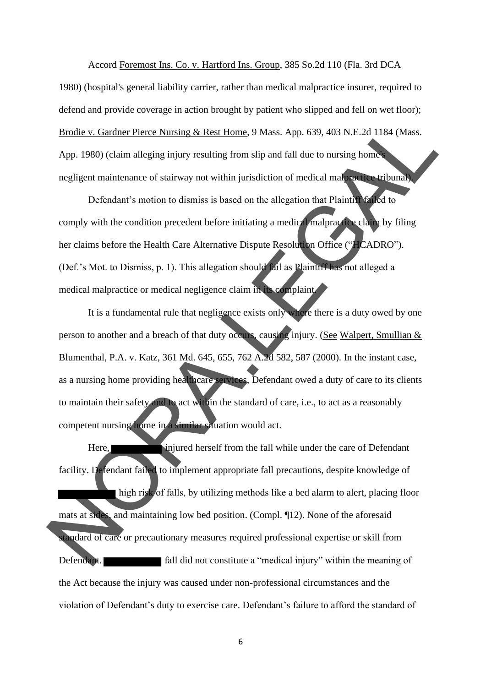Accord Foremost Ins. Co. v. Hartford Ins. Group, 385 So.2d 110 (Fla. 3rd DCA 1980) (hospital's general liability carrier, rather than medical malpractice insurer, required to defend and provide coverage in action brought by patient who slipped and fell on wet floor); Brodie v. Gardner Pierce Nursing & Rest Home, 9 Mass. App. 639, 403 N.E.2d 1184 (Mass. App. 1980) (claim alleging injury resulting from slip and fall due to nursing home negligent maintenance of stairway not within jurisdiction of medical malpractice tribunal).

Defendant's motion to dismiss is based on the allegation that Plaintiff failed to comply with the condition precedent before initiating a medical malpractice claim by filing her claims before the Health Care Alternative Dispute Resolution Office ("HCADRO"). (Def.'s Mot. to Dismiss, p. 1). This allegation should fail as Plaintiff has not alleged a medical malpractice or medical negligence claim in its complaint.

It is a fundamental rule that negligence exists only where there is a duty owed by one person to another and a breach of that duty occurs, causing injury. (See Walpert, Smullian & Blumenthal, P.A. v. Katz, 361 Md. 645, 655, 762 A.2d 582, 587 (2000). In the instant case, as a nursing home providing healthcare services, Defendant owed a duty of care to its clients to maintain their safety and to act within the standard of care, i.e., to act as a reasonably competent nursing home in a similar situation would act. Brodie v. Gardner Pierce Nussing & Rest Home, 9 Mass. App. 039, 403 N.E.2d 1184 (Mass.<br>
App. 1980) (claim alleging injury resulting from slip and fall due to nursing home<br>
regligent maintenance of stariway not within juris

Here, injured herself from the fall while under the care of Defendant facility. Defendant failed to implement appropriate fall precautions, despite knowledge of high risk of falls, by utilizing methods like a bed alarm to alert, placing floor mats at sides, and maintaining low bed position. (Compl. ¶12). None of the aforesaid tandard of care or precautionary measures required professional expertise or skill from Defendant. **Fall did not constitute a "medical injury"** within the meaning of the Act because the injury was caused under non-professional circumstances and the violation of Defendant's duty to exercise care. Defendant's failure to afford the standard of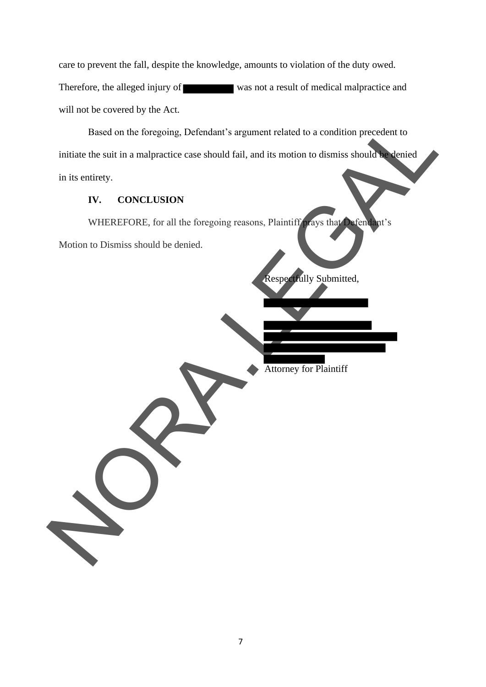care to prevent the fall, despite the knowledge, amounts to violation of the duty owed. Therefore, the alleged injury of was not a result of medical malpractice and will not be covered by the Act.

Based on the foregoing, Defendant's argument related to a condition precedent to initiate the suit in a malpractice case should fail, and its motion to dismiss should be denied in its entirety. Based on the foregoing, Defendant's argument related to a condition precedent to<br>initiate the suit in a malpractice case should fail, and its motion to dismiss should<br>in its entirety.<br>IV. CONCLUSION<br>WHEREFORE, for all the

#### **IV. CONCLUSION**

WHEREFORE, for all the foregoing reasons, Plaintiff prays that Defendant's

Motion to Dismiss should be denied.

Respectfully Submitted,

Attorney for Plaintiff